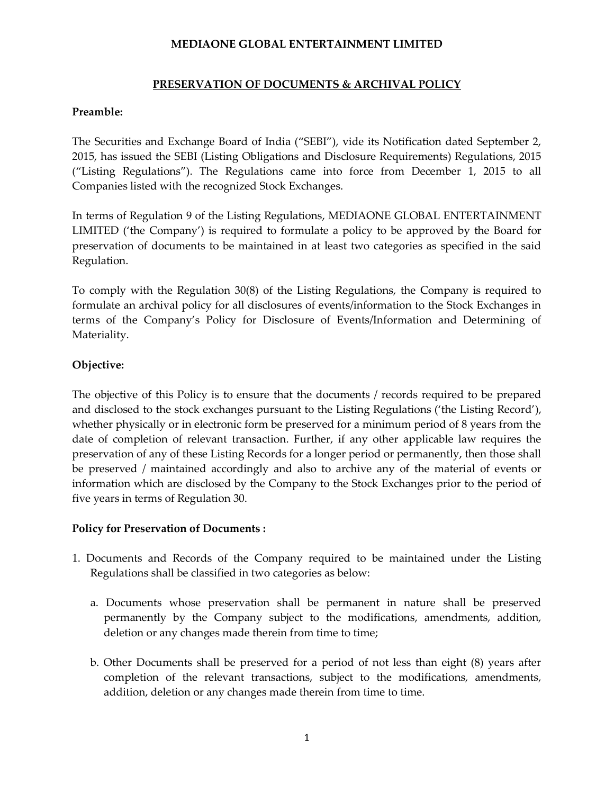## **MEDIAONE GLOBAL ENTERTAINMENT LIMITED**

### **PRESERVATION OF DOCUMENTS & ARCHIVAL POLICY**

#### **Preamble:**

The Securities and Exchange Board of India ("SEBI"), vide its Notification dated September 2, 2015, has issued the SEBI (Listing Obligations and Disclosure Requirements) Regulations, 2015 ("Listing Regulations"). The Regulations came into force from December 1, 2015 to all Companies listed with the recognized Stock Exchanges.

In terms of Regulation 9 of the Listing Regulations, MEDIAONE GLOBAL ENTERTAINMENT LIMITED ('the Company') is required to formulate a policy to be approved by the Board for preservation of documents to be maintained in at least two categories as specified in the said Regulation.

To comply with the Regulation 30(8) of the Listing Regulations, the Company is required to formulate an archival policy for all disclosures of events/information to the Stock Exchanges in terms of the Company's Policy for Disclosure of Events/Information and Determining of Materiality.

### **Objective:**

The objective of this Policy is to ensure that the documents / records required to be prepared and disclosed to the stock exchanges pursuant to the Listing Regulations ('the Listing Record'), whether physically or in electronic form be preserved for a minimum period of 8 years from the date of completion of relevant transaction. Further, if any other applicable law requires the preservation of any of these Listing Records for a longer period or permanently, then those shall be preserved / maintained accordingly and also to archive any of the material of events or information which are disclosed by the Company to the Stock Exchanges prior to the period of five years in terms of Regulation 30.

### **Policy for Preservation of Documents :**

- 1. Documents and Records of the Company required to be maintained under the Listing Regulations shall be classified in two categories as below:
	- a. Documents whose preservation shall be permanent in nature shall be preserved permanently by the Company subject to the modifications, amendments, addition, deletion or any changes made therein from time to time;
	- b. Other Documents shall be preserved for a period of not less than eight (8) years after completion of the relevant transactions, subject to the modifications, amendments, addition, deletion or any changes made therein from time to time.